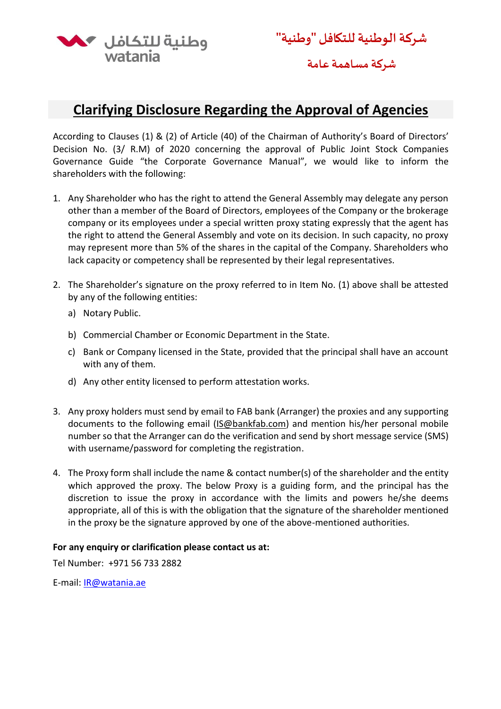

**شركة الوطنية للتكافل "وطنية"**

**شركة مساهمة عامة** 

## **Clarifying Disclosure Regarding the Approval of Agencies**

According to Clauses (1) & (2) of Article (40) of the Chairman of Authority's Board of Directors' Decision No. (3/ R.M) of 2020 concerning the approval of Public Joint Stock Companies Governance Guide "the Corporate Governance Manual", we would like to inform the shareholders with the following:

- 1. Any Shareholder who has the right to attend the General Assembly may delegate any person other than a member of the Board of Directors, employees of the Company or the brokerage company or its employees under a special written proxy stating expressly that the agent has the right to attend the General Assembly and vote on its decision. In such capacity, no proxy may represent more than 5% of the shares in the capital of the Company. Shareholders who lack capacity or competency shall be represented by their legal representatives.
- 2. The Shareholder's signature on the proxy referred to in Item No. (1) above shall be attested by any of the following entities:
	- a) Notary Public.
	- b) Commercial Chamber or Economic Department in the State.
	- c) Bank or Company licensed in the State, provided that the principal shall have an account with any of them.
	- d) Any other entity licensed to perform attestation works.
- 3. Any proxy holders must send by email to FAB bank (Arranger) the proxies and any supporting documents to the following email [\(IS@bankfab.com\)](mailto:IS@bankfab.com) and mention his/her personal mobile number so that the Arranger can do the verification and send by short message service (SMS) with username/password for completing the registration.
- 4. The Proxy form shall include the name & contact number(s) of the shareholder and the entity which approved the proxy. The below Proxy is a guiding form, and the principal has the discretion to issue the proxy in accordance with the limits and powers he/she deems appropriate, all of this is with the obligation that the signature of the shareholder mentioned in the proxy be the signature approved by one of the above-mentioned authorities.

## **For any enquiry or clarification please contact us at:**

Tel Number: +971 56 733 2882

E-mail: **IR@watania.ae**